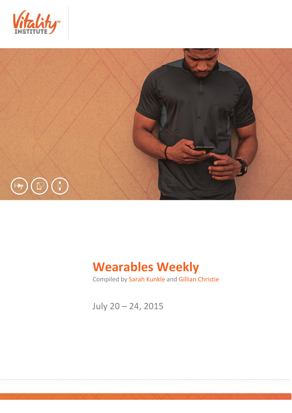



## **Wearables Weekly**

Compiled by Sarah Kunkle and Gillian Christie

July 20 – 24, 2015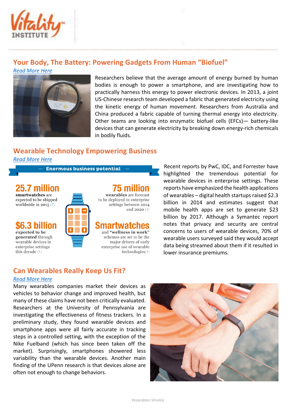

## **Your Body, The Battery: Powering Gadgets From Human "Biofuel"**

*[Read More Here](http://arstechnica.com/science/2015/07/your-body-the-battery-powering-gadgets-from-human-biofuel/)*



Researchers believe that the average amount of energy burned by human bodies is enough to power a smartphone, and are investigating how to practically harness this energy to power electronic devices. In 2013, a joint US-Chinese research team developed a fabric that generated electricity using the kinetic energy of human movement. Researchers from Australia and China produced a fabric capable of turning thermal energy into electricity. Other teams are looking into enzymatic biofuel cells (EFCs)— battery-like devices that can generate electricity by breaking down energy-rich chemicals in bodily fluids.

## **Wearable Technology Empowering Business**

*[Read More Here](http://capgemini.ft.com/cutting-edge/wearable-technology-empowering-business_a-40-1461.html)*

**Enormous business potential** 

.7 million smartwatches are expected to be shipped worldwide in  $2015(7)$ 

expected to be generated through wearable devices in enterprise settings this decade  $(1)$ 



# wearables are forecast

to be deployed in enterprise settings between 2014 and  $2020(1)$ 

smartw and "wellness in work" schemes are set to be the major drivers of early enterprise use of wearable  $technologies(1)$ 

Recent reports by PwC, IDC, and Forrester have highlighted the tremendous potential for wearable devices in enterprise settings. These reports have emphasized the health applications of wearables – digital health startups raised \$2.3 billion in 2014 and estimates suggest that mobile health apps are set to generate \$23 billion by 2017. Although a Symantec report notes that privacy and security are central concerns to users of wearable devices, 70% of wearable users surveyed said they would accept data being streamed about them if it resulted in lower insurance premiums.

### **Can Wearables Really Keep Us Fit?**

#### *[Read More Here](http://knowledge.wharton.upenn.edu/article/are-fitbits-and-other-wearables-really-keeping-us-fit/)*

Many wearables companies market their devices as vehicles to behavior change and improved health, but many of these claims have not been critically evaluated. Researchers at the University of Pennsylvania are investigating the effectiveness of fitness trackers. In a preliminary study, they found wearable devices and smartphone apps were all fairly accurate in tracking steps in a controlled setting, with the exception of the Nike Fuelband (which has since been taken off the market). Surprisingly, smartphones showered less variability than the wearable devices. Another main finding of the UPenn research is that devices alone are often not enough to change behaviors.